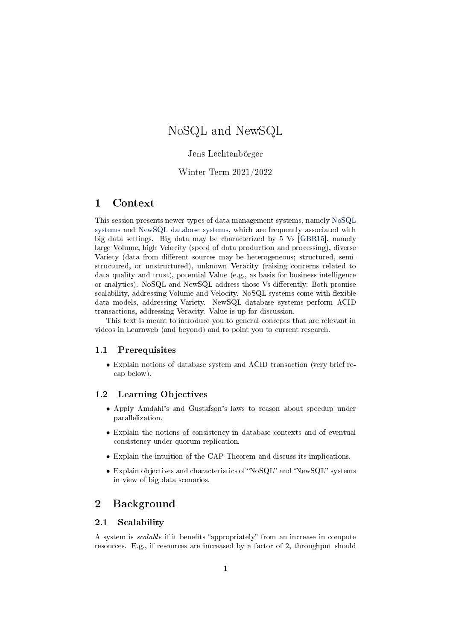# <span id="page-0-0"></span>NoSQL and NewSQL

#### Jens Lechtenbörger

#### Winter Term 2021/2022

#### 1 Context

This session presents newer types of data management systems, namely [NoSQL](#page-5-0) [systems](#page-5-0) and [NewSQL database systems,](#page-6-0) which are frequently associated with big data settings. Big data may be characterized by 5 Vs [\[GBR15\]](#page-8-0), namely large Volume, high Velocity (speed of data production and processing), diverse Variety (data from different sources may be heterogeneous; structured, semistructured, or unstructured), unknown Veracity (raising concerns related to data quality and trust), potential Value (e.g., as basis for business intelligence or analytics). NoSQL and NewSQL address those Vs differently: Both promise scalability, addressing Volume and Velocity. NoSQL systems come with flexible data models, addressing Variety. NewSQL database systems perform ACID transactions, addressing Veracity. Value is up for discussion.

This text is meant to introduce you to general concepts that are relevant in videos in Learnweb (and beyond) and to point you to current research.

#### 1.1 Prerequisites

• Explain notions of database system and ACID transaction (very brief recap below).

#### 1.2 Learning Objectives

- Apply Amdahl's and Gustafson's laws to reason about speedup under parallelization.
- Explain the notions of consistency in database contexts and of eventual consistency under quorum replication.
- Explain the intuition of the CAP Theorem and discuss its implications.
- Explain objectives and characteristics of "NoSQL" and "NewSQL" systems in view of big data scenarios.

# 2 Background

#### 2.1 Scalability

A system is *scalable* if it benefits "appropriately" from an increase in compute resources. E.g., if resources are increased by a factor of 2, throughput should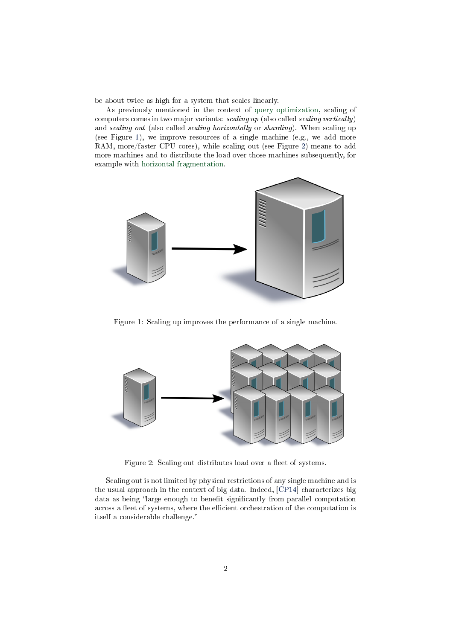be about twice as high for a system that scales linearly.

As previously mentioned in the context of [query optimization,](OLAP-optimization.org) scaling of computers comes in two major variants: scaling up (also called scaling vertically) and scaling out (also called scaling horizontally or sharding). When scaling up (see Figure [1\)](#page-1-0), we improve resources of a single machine (e.g., we add more RAM, more/faster CPU cores), while scaling out (see Figure [2\)](#page-1-1) means to add more machines and to distribute the load over those machines subsequently, for example with [horizontal fragmentation.](OLAP-optimization.org)



<span id="page-1-0"></span>Figure 1: Scaling up improves the performance of a single machine.



<span id="page-1-1"></span>Figure 2: Scaling out distributes load over a fleet of systems.

Scaling out is not limited by physical restrictions of any single machine and is the usual approach in the context of big data. Indeed, [\[CP14\]](#page-7-0) characterizes big data as being "large enough to benefit significantly from parallel computation across a fleet of systems, where the efficient orchestration of the computation is itself a considerable challenge.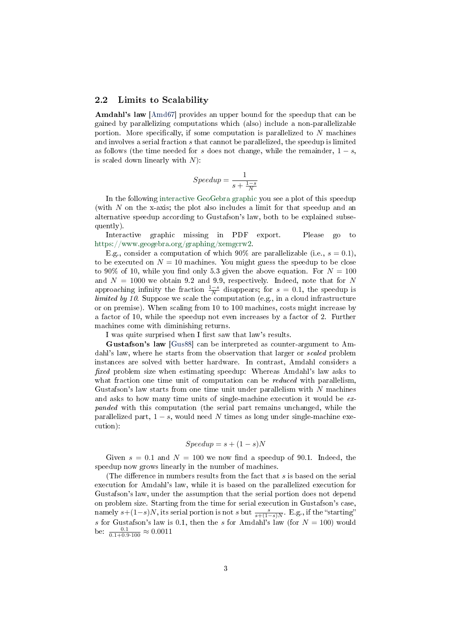#### <span id="page-2-0"></span>2.2 Limits to Scalability

Amdahl's law [\[Amd67\]](#page-7-1) provides an upper bound for the speedup that can be gained by parallelizing computations which (also) include a non-parallelizable portion. More specifically, if some computation is parallelized to  $N$  machines and involves a serial fraction s that cannot be parallelized, the speedup is limited as follows (the time needed for s does not change, while the remainder,  $1 - s$ , is scaled down linearly with  $N$ ):

$$
Speedup = \frac{1}{s + \frac{1 - s}{N}}
$$

In the following [interactive GeoGebra graphic](https://www.geogebra.org/graphing/xemgcrw2) you see a plot of this speedup (with  $N$  on the x-axis; the plot also includes a limit for that speedup and an alternative speedup according to Gustafson's law, both to be explained subsequently).

Interactive graphic missing in PDF export. Please go to [https://www.geogebra.org/graphing/xemgcrw2.](https://www.geogebra.org/graphing/xemgcrw2)

E.g., consider a computation of which 90% are parallelizable (i.e.,  $s = 0.1$ ), to be executed on  $N = 10$  machines. You might guess the speedup to be close to 90% of 10, while you find only 5.3 given the above equation. For  $N = 100$ and  $N = 1000$  we obtain 9.2 and 9.9, respectively. Indeed, note that for N approaching infinity the fraction  $\frac{1-s}{N}$  disappears; for  $s = 0.1$ , the speedup is limited by 10. Suppose we scale the computation (e.g., in a cloud infrastructure or on premise). When scaling from 10 to 100 machines, costs might increase by a factor of 10, while the speedup not even increases by a factor of 2. Further machines come with diminishing returns.

I was quite surprised when I first saw that law's results.

Gustafson's law [\[Gus88\]](#page-8-1) can be interpreted as counter-argument to Amdahl's law, where he starts from the observation that larger or scaled problem instances are solved with better hardware. In contrast, Amdahl considers a fixed problem size when estimating speedup: Whereas Amdahl's law asks to what fraction one time unit of computation can be *reduced* with parallelism, Gustafson's law starts from one time unit under parallelism with N machines and asks to how many time units of single-machine execution it would be expanded with this computation (the serial part remains unchanged, while the parallelized part,  $1 - s$ , would need N times as long under single-machine execution):

#### $Speedup = s + (1 - s)N$

Given  $s = 0.1$  and  $N = 100$  we now find a speedup of 90.1. Indeed, the speedup now grows linearly in the number of machines.

(The difference in numbers results from the fact that  $s$  is based on the serial execution for Amdahl's law, while it is based on the parallelized execution for Gustafson's law, under the assumption that the serial portion does not depend on problem size. Starting from the time for serial execution in Gustafson's case, namely  $s+(1-s)N$ , its serial portion is not s but  $\frac{s}{s+(1-s)N}$ . E.g., if the "starting" s for Gustafson's law is 0.1, then the s for Amdahl's law (for  $N = 100$ ) would be:  $\frac{0.1}{0.1+0.9\cdot 100} \approx 0.0011$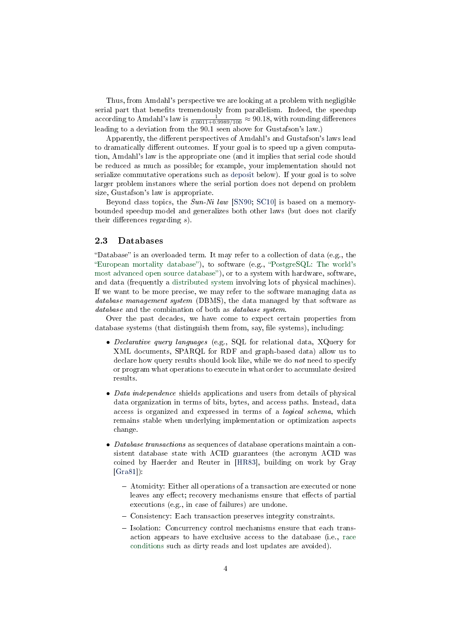Thus, from Amdahl's perspective we are looking at a problem with negligible serial part that benefits tremendously from parallelism. Indeed, the speedup according to Amdahl's law is  $\frac{1}{0.0011+0.9989/100} \approx 90.18$ , with rounding differences leading to a deviation from the 90.1 seen above for Gustafson's law.)

Apparently, the different perspectives of Amdahl's and Gustafson's laws lead to dramatically different outcomes. If your goal is to speed up a given computation, Amdahl's law is the appropriate one (and it implies that serial code should be reduced as much as possible; for example, your implementation should not serialize commutative operations such as [deposit](#page-4-0) below). If your goal is to solve larger problem instances where the serial portion does not depend on problem size, Gustafson's law is appropriate.

Beyond class topics, the Sun-Ni law [\[SN90;](#page-9-0) [SC10\]](#page-9-1) is based on a memorybounded speedup model and generalizes both other laws (but does not clarify their differences regarding  $s$ ).

#### 2.3 Databases

"Database" is an overloaded term. It may refer to a collection of data (e.g., the "European mortality database"), to software (e.g., "[PostgreSQL: The world's](https://www.postgresql.org/) most advanced open source database"), or to a system with hardware, software, and data (frequently a [distributed system](https://oer.gitlab.io/oer-courses/cacs/Distributed-Systems-Introduction.html) involving lots of physical machines). If we want to be more precise, we may refer to the software managing data as database management system (DBMS), the data managed by that software as database and the combination of both as *database system*.

Over the past decades, we have come to expect certain properties from database systems (that distinguish them from, say, file systems), including:

- Declarative query languages (e.g., SQL for relational data, XQuery for XML documents, SPARQL for RDF and graph-based data) allow us to declare how query results should look like, while we do not need to specify or program what operations to execute in what order to accumulate desired results.
- Data independence shields applications and users from details of physical data organization in terms of bits, bytes, and access paths. Instead, data access is organized and expressed in terms of a logical schema, which remains stable when underlying implementation or optimization aspects change.
- Database transactions as sequences of database operations maintain a consistent database state with ACID guarantees (the acronym ACID was coined by Haerder and Reuter in [\[HR83\]](#page-8-2), building on work by Gray [\[Gra81\]](#page-8-3)):
	- Atomicity: Either all operations of a transaction are executed or none leaves any effect; recovery mechanisms ensure that effects of partial executions (e.g., in case of failures) are undone.
	- Consistency: Each transaction preserves integrity constraints.
	- Isolation: Concurrency control mechanisms ensure that each transaction appears to have exclusive access to the database (i.e., [race](https://oer.gitlab.io/OS/Operating-Systems-MX.html#slide-race-condition) [conditions](https://oer.gitlab.io/OS/Operating-Systems-MX.html#slide-race-condition) such as dirty reads and lost updates are avoided).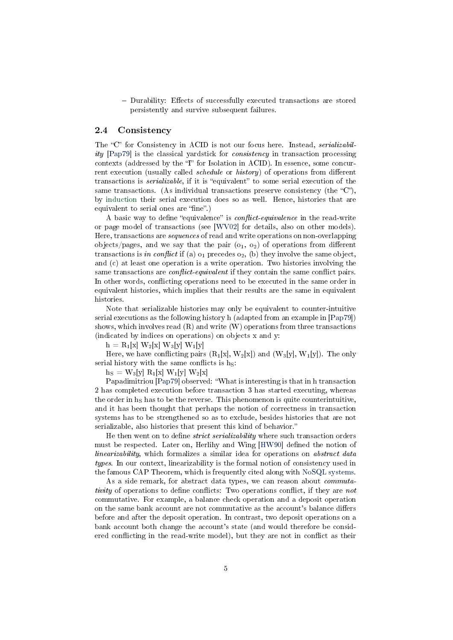- Durability: Effects of successfully executed transactions are stored persistently and survive subsequent failures.

#### <span id="page-4-0"></span>2.4 Consistency

The "C" for Consistency in ACID is not our focus here. Instead, serializability [\[Pap79\]](#page-8-4) is the classical yardstick for consistency in transaction processing contexts (addressed by the  $T$  for Isolation in ACID). In essence, some concurrent execution (usually called *schedule* or *history*) of operations from different transactions is *serializable*, if it is "equivalent" to some serial execution of the same transactions. (As individual transactions preserve consistency (the  $\text{``C''}$ ), by [induction](https://en.wikipedia.org/wiki/Mathematical_induction) their serial execution does so as well. Hence, histories that are equivalent to serial ones are "fine".)

A basic way to define "equivalence" is *conflict-equivalence* in the read-write or page model of transactions (see [\[WV02\]](#page-9-2) for details, also on other models). Here, transactions are sequences of read and write operations on non-overlapping objects/pages, and we say that the pair  $(o_1, o_2)$  of operations from different transactions is in conflict if (a)  $o_1$  precedes  $o_2$ , (b) they involve the same object, and (c) at least one operation is a write operation. Two histories involving the same transactions are *conflict-equivalent* if they contain the same conflict pairs. In other words, conflicting operations need to be executed in the same order in equivalent histories, which implies that their results are the same in equivalent histories.

Note that serializable histories may only be equivalent to counter-intuitive serial executions as the following history h (adapted from an example in [\[Pap79\]](#page-8-4)) shows, which involves read  $(R)$  and write  $(W)$  operations from three transactions (indicated by indices on operations) on objects x and y:

 $h = R_1[x] W_2[x] W_3[y] W_1[y]$ 

Here, we have conflicting pairs  $(R_1[x], W_2[x])$  and  $(W_3[y], W_1[y])$ . The only serial history with the same conflicts is  $h<sub>S</sub>$ :

 $h_S = W_3[y] R_1[x] W_1[y] W_2[x]$ 

Papadimitriou [\[Pap79\]](#page-8-4) observed: What is interesting is that in h transaction 2 has completed execution before transaction 3 has started executing, whereas the order in  $h<sub>S</sub>$  has to be the reverse. This phenomenon is quite counterintuitive, and it has been thought that perhaps the notion of correctness in transaction systems has to be strengthened so as to exclude, besides histories that are not serializable, also histories that present this kind of behavior.

He then went on to define *strict serializability* where such transaction orders must be respected. Later on, Herlihy and Wing [\[HW90\]](#page-8-5) defined the notion of linearizability, which formalizes a similar idea for operations on abstract data types. In our context, linearizability is the formal notion of consistency used in the famous CAP Theorem, which is frequently cited along with [NoSQL systems.](#page-5-0)

As a side remark, for abstract data types, we can reason about commutativity of operations to define conflicts: Two operations conflict, if they are not commutative. For example, a balance check operation and a deposit operation on the same bank account are not commutative as the account's balance differs before and after the deposit operation. In contrast, two deposit operations on a bank account both change the account's state (and would therefore be considered conflicting in the read-write model), but they are not in conflict as their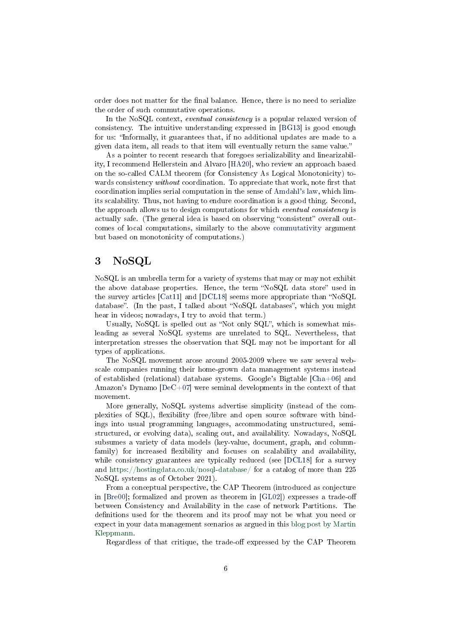order does not matter for the final balance. Hence, there is no need to serialize the order of such commutative operations.

In the NoSQL context, *eventual consistency* is a popular relaxed version of consistency. The intuitive understanding expressed in [\[BG13\]](#page-7-2) is good enough for us: Informally, it guarantees that, if no additional updates are made to a given data item, all reads to that item will eventually return the same value.

As a pointer to recent research that foregoes serializability and linearizability, I recommend Hellerstein and Alvaro [\[HA20\]](#page-8-6), who review an approach based on the so-called CALM theorem (for Consistency As Logical Monotonicity) towards consistency without coordination. To appreciate that work, note first that coordination implies serial computation in the sense of [Amdahl's law,](#page-2-0) which limits scalability. Thus, not having to endure coordination is a good thing. Second, the approach allows us to design computations for which eventual consistency is actually safe. (The general idea is based on observing "consistent" overall outcomes of local computations, similarly to the above [commutativity](#page-4-0) argument but based on monotonicity of computations.)

## <span id="page-5-0"></span>3 NoSQL

NoSQL is an umbrella term for a variety of systems that may or may not exhibit the above database properties. Hence, the term "NoSQL data store" used in the survey articles  $[Cat11]$  and  $[DCL18]$  seems more appropriate than "NoSQL" database". (In the past, I talked about "NoSQL databases", which you might hear in videos; nowadays, I try to avoid that term.)

Usually, NoSQL is spelled out as "Not only  $SQL$ ", which is somewhat misleading as several NoSQL systems are unrelated to SQL. Nevertheless, that interpretation stresses the observation that SQL may not be important for all types of applications.

The NoSQL movement arose around 2005-2009 where we saw several webscale companies running their home-grown data management systems instead of established (relational) database systems. Google's Bigtable [\[Cha+06\]](#page-7-4) and Amazon's Dynamo [\[DeC+07\]](#page-8-8) were seminal developments in the context of that movement.

More generally, NoSQL systems advertise simplicity (instead of the complexities of SQL), flexibility (free/libre and open source software with bindings into usual programming languages, accommodating unstructured, semistructured, or evolving data), scaling out, and availability. Nowadays, NoSQL subsumes a variety of data models (key-value, document, graph, and columnfamily) for increased flexibility and focuses on scalability and availability, while consistency guarantees are typically reduced (see [\[DCL18\]](#page-8-7) for a survey and <https://hostingdata.co.uk/nosql-database/> for a catalog of more than 225 NoSQL systems as of October 2021).

From a conceptual perspective, the CAP Theorem (introduced as conjecture in  $[Bre00]$ ; formalized and proven as theorem in  $[GL02]$  expresses a trade-off between Consistency and Availability in the case of network Partitions. The definitions used for the theorem and its proof may not be what you need or expect in your data management scenarios as argued in this [blog post by Martin](https://martin.kleppmann.com/2015/05/11/please-stop-calling-databases-cp-or-ap.html) [Kleppmann.](https://martin.kleppmann.com/2015/05/11/please-stop-calling-databases-cp-or-ap.html)

Regardless of that critique, the trade-off expressed by the CAP Theorem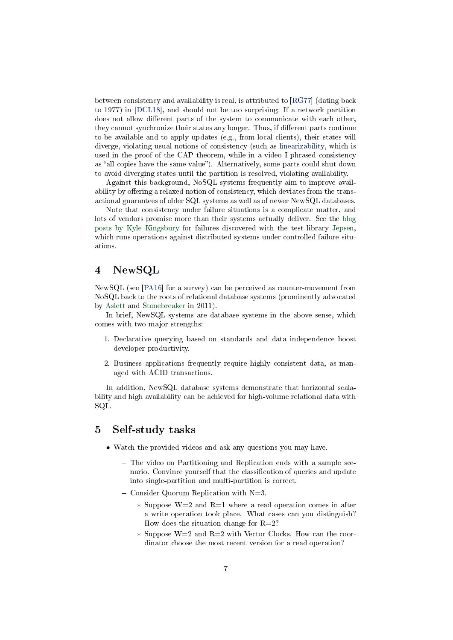between consistency and availability is real, is attributed to [\[RG77\]](#page-8-10) (dating back to 1977) in [\[DCL18\]](#page-8-7), and should not be too surprising: If a network partition does not allow different parts of the system to communicate with each other, they cannot synchronize their states any longer. Thus, if different parts continue to be available and to apply updates (e.g., from local clients), their states will diverge, violating usual notions of consistency (such as [linearizability,](#page-4-0) which is used in the proof of the CAP theorem, while in a video I phrased consistency as "all copies have the same value"). Alternatively, some parts could shut down to avoid diverging states until the partition is resolved, violating availability.

Against this background, NoSQL systems frequently aim to improve availability by offering a relaxed notion of consistency, which deviates from the transactional guarantees of older SQL systems as well as of newer NewSQL databases.

Note that consistency under failure situations is a complicate matter, and lots of vendors promise more than their systems actually deliver. See the [blog](https://aphyr.com/tags/jepsen) [posts by Kyle Kingsbury](https://aphyr.com/tags/jepsen) for failures discovered with the test library [Jepsen,](https://github.com/jepsen-io/jepsen) which runs operations against distributed systems under controlled failure situations.

# <span id="page-6-0"></span>4 NewSQL

NewSQL (see [\[PA16\]](#page-8-11) for a survey) can be perceived as counter-movement from NoSQL back to the roots of relational database systems (prominently advocated by [Aslett](https://blogs.451research.com/information_management/2011/04/06/what-we-talk-about-when-we-talk-about-newsql/) and [Stonebreaker](https://cacm.acm.org/blogs/blog-cacm/109710-new-sql-an-alternative-to-nosql-and-old-sql-for-new-oltp-apps/fulltext) in 2011).

In brief, NewSQL systems are database systems in the above sense, which comes with two major strengths:

- 1. Declarative querying based on standards and data independence boost developer productivity.
- 2. Business applications frequently require highly consistent data, as managed with ACID transactions.

In addition, NewSQL database systems demonstrate that horizontal scalability and high availability can be achieved for high-volume relational data with SQL.

### 5 Self-study tasks

- Watch the provided videos and ask any questions you may have.
	- The video on Partitioning and Replication ends with a sample scenario. Convince yourself that the classification of queries and update into single-partition and multi-partition is correct.
	- Consider Quorum Replication with  $N=3$ .
		- ∗ Suppose W=2 and R=1 where a read operation comes in after a write operation took place. What cases can you distinguish? How does the situation change for  $R=2$ ?
		- ∗ Suppose W=2 and R=2 with Vector Clocks. How can the coordinator choose the most recent version for a read operation?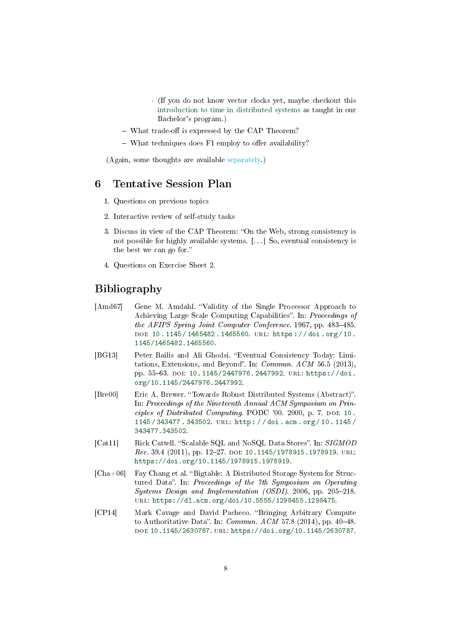- · (If you do not know vector clocks yet, maybe checkout this [introduction to time in distributed systems](https://oer.gitlab.io/oer-courses/cacs/Distributed-Systems-Introduction.html#slide-clocks) as taught in our Bachelor's program.)
- $-$  What trade-off is expressed by the CAP Theorem?
- $-$  What techniques does F1 employ to offer availability?

(Again, some thoughts are available [separately.](#page-0-0))

### 6 Tentative Session Plan

- 1. Questions on previous topics
- 2. Interactive review of self-study tasks
- 3. Discuss in view of the CAP Theorem: "On the Web, strong consistency is not possible for highly available systems. [. . . ] So, eventual consistency is the best we can go for.
- 4. Questions on Exercise Sheet 2.

# Bibliography

- <span id="page-7-1"></span>[Amd67] Gene M. Amdahl. "Validity of the Single Processor Approach to Achieving Large Scale Computing Capabilities". In: Proceedings of the AFIPS Spring Joint Computer Conference. 1967, pp. 483-485. doi: [10 . 1145 / 1465482 . 1465560.](https://doi.org/10.1145/1465482.1465560) url: [https : / / doi . org / 10 .](https://doi.org/10.1145/1465482.1465560) [1145/1465482.1465560.](https://doi.org/10.1145/1465482.1465560)
- <span id="page-7-2"></span>[BG13] Peter Bailis and Ali Ghodsi. "Eventual Consistency Today: Limitations, Extensions, and Beyond". In: Commun.  $ACM$  56.5 (2013), pp. 55-63. DOI: [10.1145/2447976.2447992.](https://doi.org/10.1145/2447976.2447992) URL: [https://doi.](https://doi.org/10.1145/2447976.2447992) [org/10.1145/2447976.2447992.](https://doi.org/10.1145/2447976.2447992)
- <span id="page-7-5"></span>[Bre00] Eric A. Brewer. "Towards Robust Distributed Systems (Abstract)". In: Proceedings of the Nineteenth Annual ACM Symposium on Prin- $ciples of Distributed Computing, PODC'00, 2000, p. 7. DOI: 10.$  $ciples of Distributed Computing, PODC'00, 2000, p. 7. DOI: 10.$ [1145 / 343477 . 343502.](https://doi.org/10.1145/343477.343502) url: [http : / / doi . acm . org / 10 . 1145 /](http://doi.acm.org/10.1145/343477.343502) [343477.343502.](http://doi.acm.org/10.1145/343477.343502)
- <span id="page-7-3"></span>[Cat11] Rick Cattell. "Scalable SQL and NoSQL Data Stores". In: SIGMOD Rec. 39.4 (2011), pp. 12-27. DOI: [10.1145/1978915.1978919.](https://doi.org/10.1145/1978915.1978919) URL: [https://doi.org/10.1145/1978915.1978919.](https://doi.org/10.1145/1978915.1978919)
- <span id="page-7-4"></span> $[Cha+06]$  Fay Chang et al. "Bigtable: A Distributed Storage System for Structured Data". In: Proceedings of the 7th Symposium on Operating Systems Design and Implementation (OSDI). 2006, pp. 205-218. url: [https://dl.acm.org/doi/10.5555/1298455.1298475.](https://dl.acm.org/doi/10.5555/1298455.1298475)
- <span id="page-7-0"></span>[CP14] Mark Cavage and David Pacheco. "Bringing Arbitrary Compute to Authoritative Data". In:  $Commun.$   $ACM$  57.8 (2014), pp. 40–48. doi: [10.1145/2630787.](https://doi.org/10.1145/2630787) url: [https://doi.org/10.1145/2630787.](https://doi.org/10.1145/2630787)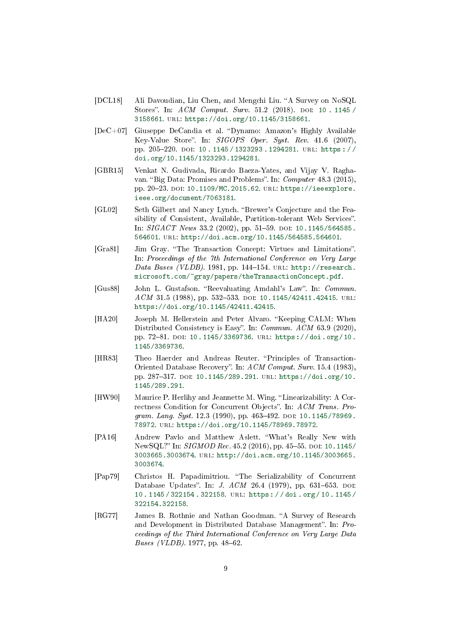- <span id="page-8-7"></span>[DCL18] Ali Davoudian, Liu Chen, and Mengchi Liu. "A Survey on NoSQL Stores". In: ACM Comput. Surv. 51.2 (2018). DOI: [10 . 1145 /](https://doi.org/10.1145/3158661) [3158661.](https://doi.org/10.1145/3158661) url: [https://doi.org/10.1145/3158661.](https://doi.org/10.1145/3158661)
- <span id="page-8-8"></span>[DeC+07] Giuseppe DeCandia et al. "Dynamo: Amazon's Highly Available Key-Value Store". In:  $SIGOPS$  Oper. Syst. Rev. 41.6 (2007), pp. 205-220. doi: 10.1145 / 1323293.1294281. URL: https:// [doi.org/10.1145/1323293.1294281.](https://doi.org/10.1145/1323293.1294281)
- <span id="page-8-0"></span>[GBR15] Venkat N. Gudivada, Ricardo Baeza-Yates, and Vijay V. Raghavan. "Big Data: Promises and Problems". In: Computer 48.3 (2015), pp. 20-23. DOI: [10.1109/MC.2015.62.](https://doi.org/10.1109/MC.2015.62) URL: [https://ieeexplore.](https://ieeexplore.ieee.org/document/7063181) [ieee.org/document/7063181.](https://ieeexplore.ieee.org/document/7063181)
- <span id="page-8-9"></span>[GL02] Seth Gilbert and Nancy Lynch. "Brewer's Conjecture and the Feasibility of Consistent, Available, Partition-tolerant Web Services". In:  $SIGACT News 33.2 (2002)$ , pp. 51-59. doi: [10.1145/564585.](https://doi.org/10.1145/564585.564601) [564601.](https://doi.org/10.1145/564585.564601) url: [http://doi.acm.org/10.1145/564585.564601.](http://doi.acm.org/10.1145/564585.564601)
- <span id="page-8-3"></span>[Gra81] Jim Gray. "The Transaction Concept: Virtues and Limitations". In: Proceedings of the 7th International Conference on Very Large Data Bases (VLDB). 1981, pp. 144-154. URL: [http://research.](http://research.microsoft.com/~gray/papers/theTransactionConcept.pdf) [microsoft.com/~gray/papers/theTransactionConcept.pdf.](http://research.microsoft.com/~gray/papers/theTransactionConcept.pdf)
- <span id="page-8-1"></span>[Gus88] John L. Gustafson. "Reevaluating Amdahl's Law". In: Commun.  $ACM$  31.5 (1988), pp. 532-533. DOI: [10.1145/42411.42415.](https://doi.org/10.1145/42411.42415) URL: [https://doi.org/10.1145/42411.42415.](https://doi.org/10.1145/42411.42415)
- <span id="page-8-6"></span>[HA20] Joseph M. Hellerstein and Peter Alvaro. "Keeping CALM: When Distributed Consistency is Easy". In: Commun. ACM 63.9 (2020), pp. 72-81. DOI: [10.1145/3369736.](https://doi.org/10.1145/3369736) URL: [https://doi.org/10.](https://doi.org/10.1145/3369736) [1145/3369736.](https://doi.org/10.1145/3369736)
- <span id="page-8-2"></span>[HR83] Theo Haerder and Andreas Reuter. "Principles of Transaction-Oriented Database Recovery". In: ACM Comput. Surv. 15.4 (1983), pp. 287-317. DOI: [10.1145/289.291.](https://doi.org/10.1145/289.291) URL: [https://doi.org/10.](https://doi.org/10.1145/289.291) [1145/289.291.](https://doi.org/10.1145/289.291)
- <span id="page-8-5"></span>[HW90] Maurice P. Herlihy and Jeannette M. Wing. "Linearizability: A Correctness Condition for Concurrent Objects". In: ACM Trans. Program. Lang. Syst.  $12.3$  (1990), pp.  $463-492$ . DOI:  $10.1145/78969$ . [78972.](https://doi.org/10.1145/78969.78972) url: [https://doi.org/10.1145/78969.78972.](https://doi.org/10.1145/78969.78972)
- <span id="page-8-11"></span>[PA16] Andrew Pavlo and Matthew Aslett. What's Really New with NewSQL?" In: SIGMOD Rec. 45.2 (2016), pp. 45-55. DOI: [10.1145/](https://doi.org/10.1145/3003665.3003674) [3003665.3003674.](https://doi.org/10.1145/3003665.3003674) url: [http://doi.acm.org/10.1145/3003665.](http://doi.acm.org/10.1145/3003665.3003674) [3003674.](http://doi.acm.org/10.1145/3003665.3003674)
- <span id="page-8-4"></span>[Pap79] Christos H. Papadimitriou. The Serializability of Concurrent Database Updates". In: *J. ACM* 26.4 (1979), pp. 631-653. DOI: [10 . 1145 / 322154 . 322158.](https://doi.org/10.1145/322154.322158) url: [https : / / doi . org / 10 . 1145 /](https://doi.org/10.1145/322154.322158) [322154.322158.](https://doi.org/10.1145/322154.322158)
- <span id="page-8-10"></span>[RG77] James B. Rothnie and Nathan Goodman. "A Survey of Research and Development in Distributed Database Management". In: Proceedings of the Third International Conference on Very Large Data *Bases (VLDB)*. 1977, pp.  $48-62$ .